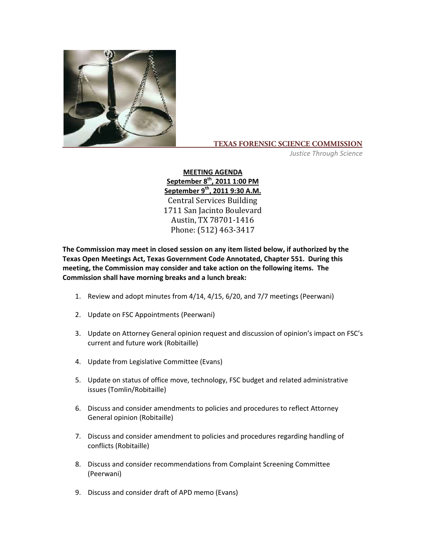

## **TEXAS FORENSIC SCIENCE COMMISSION**

*Justice Through Science*

**MEETING AGENDA ber 8th Septem , 2011 1:00 PM September 9th, 2011 9:30 A.M.** C entral Services Building 1711 San Jacinto Boulevard Austin, TX 78701‐1416 Phone: (512) 463‐3417

**The Commission may meet in closed session on any item listed below, if authorized by the Texas Open Meetings Act, Texas Government Code Annotated, Chapter 551. During this meeting, the Commission may consider and take action on the following items. The Commission shall have morning breaks and a lunch break:**

- 1. Review and adopt minutes from 4/14, 4/15, 6/20, and 7/7 meetings (Peerwani)
- 2. Update on FSC Appointments (Peerwani)
- 3. Update on Attorney General opinion request and discussion of opinion's impact on FSC's current and future work (Robitaille)
- 4. Update from Legislative Committee (Evans)
- 5. Update on status of office move, technology, FSC budget and related administrative issues (Tomlin/Robitaille)
- 6. Discuss and consider amendments to policies and procedures to reflect Attorney General opinion (Robitaille)
- 7. Discuss and consider amendment to policies and procedures regarding handling of conflicts (Robitaille)
- 8. Discuss and consider recommendations from Complaint Screening Committee (Peerwani)
- 9. Discuss and consider draft of APD memo (Evans)